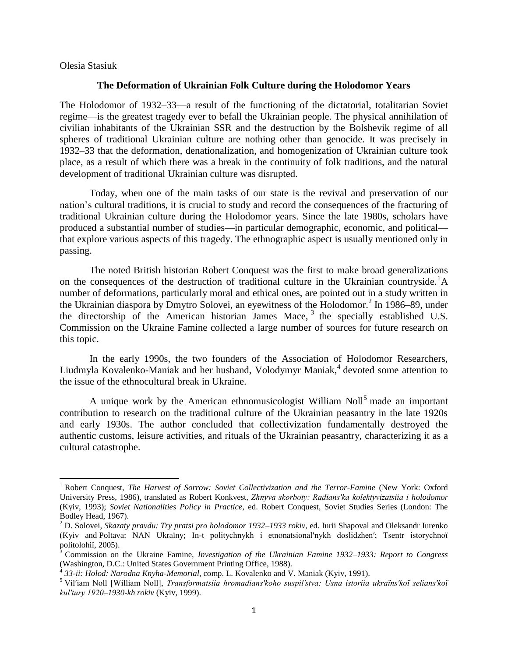Olesia Stasiuk

 $\overline{a}$ 

## **The Deformation of Ukrainian Folk Culture during the Holodomor Years**

The Holodomor of 1932–33—a result of the functioning of the dictatorial, totalitarian Soviet regime—is the greatest tragedy ever to befall the Ukrainian people. The physical annihilation of civilian inhabitants of the Ukrainian SSR and the destruction by the Bolshevik regime of all spheres of traditional Ukrainian culture are nothing other than genocide. It was precisely in 1932–33 that the deformation, denationalization, and homogenization of Ukrainian culture took place, as a result of which there was a break in the continuity of folk traditions, and the natural development of traditional Ukrainian culture was disrupted.

Today, when one of the main tasks of our state is the revival and preservation of our nation's cultural traditions, it is crucial to study and record the consequences of the fracturing of traditional Ukrainian culture during the Holodomor years. Since the late 1980s, scholars have produced a substantial number of studies—in particular demographic, economic, and political that explore various aspects of this tragedy. The ethnographic aspect is usually mentioned only in passing.

The noted British historian Robert Conquest was the first to make broad generalizations on the consequences of the destruction of traditional culture in the Ukrainian countryside.<sup>1</sup>A number of deformations, particularly moral and ethical ones, are pointed out in a study written in the Ukrainian diaspora by Dmytro Solovei, an eyewitness of the Holodomor.<sup>2</sup> In 1986–89, under the directorship of the American historian James Mace, <sup>3</sup> the specially established U.S. Commission on the Ukraine Famine collected a large number of sources for future research on this topic.

In the early 1990s, the two founders of the Association of Holodomor Researchers, Liudmyla Kovalenko-Maniak and her husband, Volodymyr Maniak,<sup>4</sup> devoted some attention to the issue of the ethnocultural break in Ukraine.

A unique work by the American ethnomusicologist William Noll<sup>5</sup> made an important contribution to research on the traditional culture of the Ukrainian peasantry in the late 1920s and early 1930s. The author concluded that collectivization fundamentally destroyed the authentic customs, leisure activities, and rituals of the Ukrainian peasantry, characterizing it as a cultural catastrophe.

<sup>1</sup> Robert Conquest, *The Harvest of Sorrow: Soviet Collectivization and the Terror-Famine* (New York: Oxford University Press, 1986), translated as Robert Konkvest, *Zhnyva skorboty: Radians′ka kolektyvizatsiia i holodomor* (Kyiv, 1993); *Soviet Nationalities Policy in Practice*, ed. Robert Conquest, Soviet Studies Series (London: The Bodley Head, 1967).

<sup>2</sup> D. Solovei, *Skazaty pravdu: Try pratsi pro holodomor 1932–1933 rokiv*, ed. Iurii Shapoval and Oleksandr Iurenko (Kyiv and Poltava: NAN Ukraïny; In-t politychnykh i etnonatsional′nykh doslidzhen′; Tsentr istorychnoï politolohiï, 2005).

<sup>3</sup> Commission on the Ukraine Famine, *Investigation of the Ukrainian Famine 1932–1933: Report to Congress* (Washington, D.C.: United States Government Printing Office, 1988). 4 *33-ii: Holod: Narodna Knyha-Memorial*, comp. L. Kovalenko and V. Maniak (Kyiv, 1991).

<sup>5</sup> Vil′iam Noll [William Noll], *Transformatsiia hromadians′koho suspil′stva: Usna istoriia ukraïns′koï selians′koï kul′tury 1920–1930-kh rokiv* (Kyiv, 1999).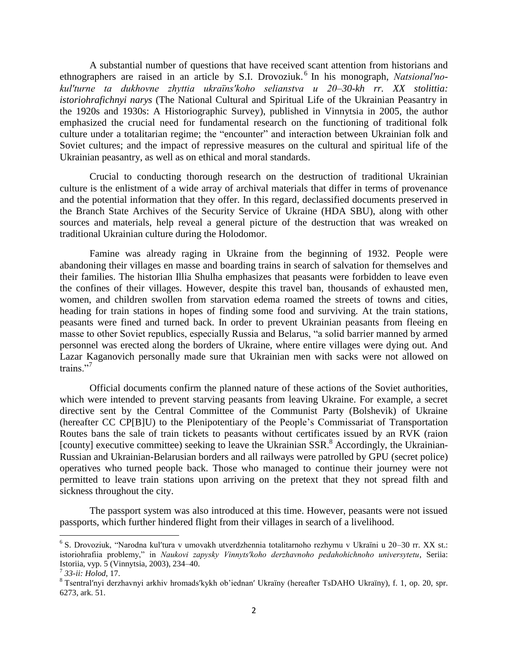A substantial number of questions that have received scant attention from historians and ethnographers are raised in an article by S.I. Drovoziuk. 6 In his monograph, *Natsional′nokul′turne ta dukhovne zhyttia ukraïns′koho selianstva u 20–30-kh rr. XX stolittia: istoriohrafichnyi narys* (The National Cultural and Spiritual Life of the Ukrainian Peasantry in the 1920s and 1930s: A Historiographic Survey), published in Vinnytsia in 2005, the author emphasized the crucial need for fundamental research on the functioning of traditional folk culture under a totalitarian regime; the "encounter" and interaction between Ukrainian folk and Soviet cultures; and the impact of repressive measures on the cultural and spiritual life of the Ukrainian peasantry, as well as on ethical and moral standards.

Crucial to conducting thorough research on the destruction of traditional Ukrainian culture is the enlistment of a wide array of archival materials that differ in terms of provenance and the potential information that they offer. In this regard, declassified documents preserved in the Branch State Archives of the Security Service of Ukraine (HDA SBU), along with other sources and materials, help reveal a general picture of the destruction that was wreaked on traditional Ukrainian culture during the Holodomor.

Famine was already raging in Ukraine from the beginning of 1932. People were abandoning their villages en masse and boarding trains in search of salvation for themselves and their families. The historian Illia Shulha emphasizes that peasants were forbidden to leave even the confines of their villages. However, despite this travel ban, thousands of exhausted men, women, and children swollen from starvation edema roamed the streets of towns and cities, heading for train stations in hopes of finding some food and surviving. At the train stations, peasants were fined and turned back. In order to prevent Ukrainian peasants from fleeing en masse to other Soviet republics, especially Russia and Belarus, "a solid barrier manned by armed personnel was erected along the borders of Ukraine, where entire villages were dying out. And Lazar Kaganovich personally made sure that Ukrainian men with sacks were not allowed on trains<sup>"7</sup>

Official documents confirm the planned nature of these actions of the Soviet authorities, which were intended to prevent starving peasants from leaving Ukraine. For example, a secret directive sent by the Central Committee of the Communist Party (Bolshevik) of Ukraine (hereafter CC CP[B]U) to the Plenipotentiary of the People's Commissariat of Transportation Routes bans the sale of train tickets to peasants without certificates issued by an RVK (raion [county] executive committee) seeking to leave the Ukrainian SSR.<sup>8</sup> Accordingly, the Ukrainian-Russian and Ukrainian-Belarusian borders and all railways were patrolled by GPU (secret police) operatives who turned people back. Those who managed to continue their journey were not permitted to leave train stations upon arriving on the pretext that they not spread filth and sickness throughout the city.

The passport system was also introduced at this time. However, peasants were not issued passports, which further hindered flight from their villages in search of a livelihood.

l

<sup>6</sup> S. Drovoziuk, "Narodna kul′tura v umovakh utverdzhennia totalitarnoho rezhymu v Ukraïni u 20–30 rr. XX st.: istoriohrafiia problemy," in *Naukovi zapysky Vinnyts′koho derzhavnoho pedahohichnoho universytetu*, Seriia: Istoriia, vyp. 5 (Vinnytsia, 2003), 234–40.

<sup>7</sup> *33-ii: Holod*, 17.

<sup>8</sup> Tsentral′nyi derzhavnyi arkhiv hromads′kykh ob'iednan′ Ukraïny (hereafter TsDAHO Ukraïny), f. 1, op. 20, spr. 6273, ark. 51.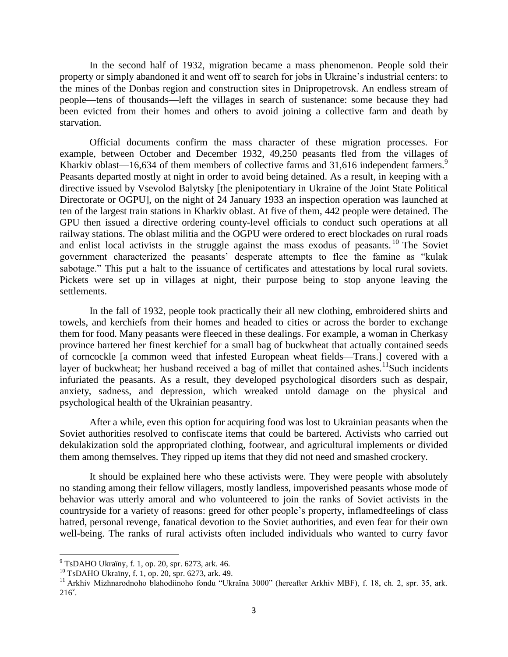In the second half of 1932, migration became a mass phenomenon. People sold their property or simply abandoned it and went off to search for jobs in Ukraine's industrial centers: to the mines of the Donbas region and construction sites in Dnipropetrovsk. An endless stream of people—tens of thousands—left the villages in search of sustenance: some because they had been evicted from their homes and others to avoid joining a collective farm and death by starvation.

Official documents confirm the mass character of these migration processes. For example, between October and December 1932, 49,250 peasants fled from the villages of Kharkiv oblast—16,634 of them members of collective farms and  $31,616$  independent farmers.<sup>9</sup> Peasants departed mostly at night in order to avoid being detained. As a result, in keeping with a directive issued by Vsevolod Balytsky [the plenipotentiary in Ukraine of the Joint State Political Directorate or OGPU], on the night of 24 January 1933 an inspection operation was launched at ten of the largest train stations in Kharkiv oblast. At five of them, 442 people were detained. The GPU then issued a directive ordering county-level officials to conduct such operations at all railway stations. The oblast militia and the OGPU were ordered to erect blockades on rural roads and enlist local activists in the struggle against the mass exodus of peasants.<sup>10</sup> The Soviet government characterized the peasants' desperate attempts to flee the famine as "kulak sabotage." This put a halt to the issuance of certificates and attestations by local rural soviets. Pickets were set up in villages at night, their purpose being to stop anyone leaving the settlements.

In the fall of 1932, people took practically their all new clothing, embroidered shirts and towels, and kerchiefs from their homes and headed to cities or across the border to exchange them for food. Many peasants were fleeced in these dealings. For example, a woman in Cherkasy province bartered her finest kerchief for a small bag of buckwheat that actually contained seeds of corncockle [a common weed that infested European wheat fields—Trans.] covered with a layer of buckwheat; her husband received a bag of millet that contained ashes.<sup>11</sup>Such incidents infuriated the peasants. As a result, they developed psychological disorders such as despair, anxiety, sadness, and depression, which wreaked untold damage on the physical and psychological health of the Ukrainian peasantry.

After a while, even this option for acquiring food was lost to Ukrainian peasants when the Soviet authorities resolved to confiscate items that could be bartered. Activists who carried out dekulakization sold the appropriated clothing, footwear, and agricultural implements or divided them among themselves. They ripped up items that they did not need and smashed crockery.

It should be explained here who these activists were. They were people with absolutely no standing among their fellow villagers, mostly landless, impoverished peasants whose mode of behavior was utterly amoral and who volunteered to join the ranks of Soviet activists in the countryside for a variety of reasons: greed for other people's property, inflamedfeelings of class hatred, personal revenge, fanatical devotion to the Soviet authorities, and even fear for their own well-being. The ranks of rural activists often included individuals who wanted to curry favor

 $9^9$  TsDAHO Ukraïny, f. 1, op. 20, spr. 6273, ark. 46.

<sup>10</sup> TsDAHO Ukraïny, f. 1, op. 20, spr. 6273, ark. 49.

<sup>&</sup>lt;sup>11</sup> Arkhiv Mizhnarodnoho blahodiinoho fondu "Ukraïna 3000" (hereafter Arkhiv MBF), f. 18, ch. 2, spr. 35, ark.  $216^{\circ}$ .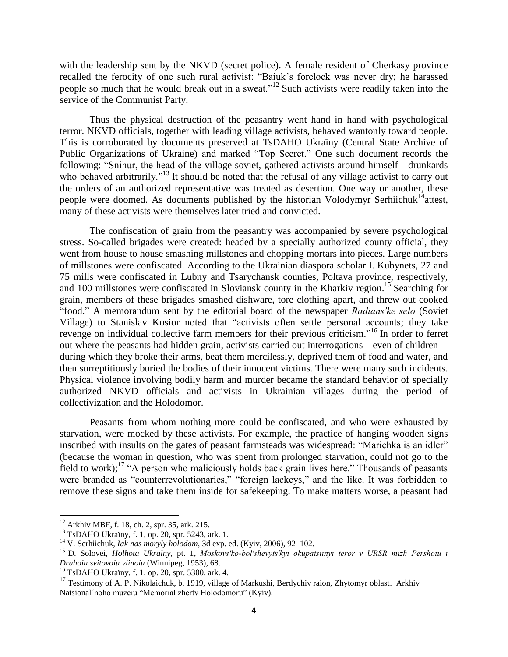with the leadership sent by the NKVD (secret police). A female resident of Cherkasy province recalled the ferocity of one such rural activist: "Baiuk's forelock was never dry; he harassed people so much that he would break out in a sweat."<sup>12</sup> Such activists were readily taken into the service of the Communist Party.

Thus the physical destruction of the peasantry went hand in hand with psychological terror. NKVD officials, together with leading village activists, behaved wantonly toward people. This is corroborated by documents preserved at TsDAHO Ukraïny (Central State Archive of Public Organizations of Ukraine) and marked "Top Secret." One such document records the following: "Snihur, the head of the village soviet, gathered activists around himself—drunkards who behaved arbitrarily."<sup>13</sup> It should be noted that the refusal of any village activist to carry out the orders of an authorized representative was treated as desertion. One way or another, these people were doomed. As documents published by the historian Volodymyr Serhiichuk<sup>14</sup>attest, many of these activists were themselves later tried and convicted.

The confiscation of grain from the peasantry was accompanied by severe psychological stress. So-called brigades were created: headed by a specially authorized county official, they went from house to house smashing millstones and chopping mortars into pieces. Large numbers of millstones were confiscated. According to the Ukrainian diaspora scholar I. Kubynets, 27 and 75 mills were confiscated in Lubny and Tsarychansk counties, Poltava province, respectively, and 100 millstones were confiscated in Sloviansk county in the Kharkiv region.<sup>15</sup> Searching for grain, members of these brigades smashed dishware, tore clothing apart, and threw out cooked "food." A memorandum sent by the editorial board of the newspaper *Radians′ke selo* (Soviet Village) to Stanislav Kosior noted that "activists often settle personal accounts; they take revenge on individual collective farm members for their previous criticism."<sup>16</sup> In order to ferret out where the peasants had hidden grain, activists carried out interrogations—even of children during which they broke their arms, beat them mercilessly, deprived them of food and water, and then surreptitiously buried the bodies of their innocent victims. There were many such incidents. Physical violence involving bodily harm and murder became the standard behavior of specially authorized NKVD officials and activists in Ukrainian villages during the period of collectivization and the Holodomor.

Peasants from whom nothing more could be confiscated, and who were exhausted by starvation, were mocked by these activists. For example, the practice of hanging wooden signs inscribed with insults on the gates of peasant farmsteads was widespread: "Marichka is an idler" (because the woman in question, who was spent from prolonged starvation, could not go to the field to work);<sup>17</sup> "A person who maliciously holds back grain lives here." Thousands of peasants were branded as "counterrevolutionaries," "foreign lackeys," and the like. It was forbidden to remove these signs and take them inside for safekeeping. To make matters worse, a peasant had

<sup>12</sup> Arkhiv MBF, f. 18, ch. 2, spr. 35, ark. 215.

<sup>13</sup> TsDAHO Ukraïny, f. 1, op. 20, spr. 5243, ark. 1.

<sup>14</sup> V. Serhiichuk, *Iak nas moryly holodom*, 3d exp. ed. (Kyiv, 2006), 92–102.

<sup>15</sup> D. Solovei, *Holhota Ukraïny*, pt. 1, *Moskovs′ko-bol′shevyts′kyi okupatsiinyi teror v URSR mizh Pershoiu i Druhoiu svitovoiu viinoiu* (Winnipeg, 1953), 68.

<sup>16</sup> TsDAHO Ukraïny, f. 1, op. 20, spr. 5300, ark. 4.

<sup>&</sup>lt;sup>17</sup> Testimony of A. P. Nikolaichuk, b. 1919, village of Markushi, Berdychiv raion, Zhytomyr oblast. Arkhiv Natsional´noho muzeiu "Memorial zhertv Holodomoru" (Kyiv).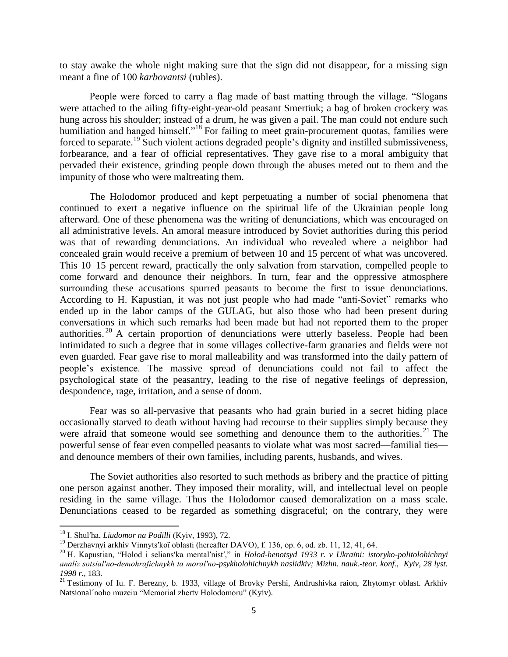to stay awake the whole night making sure that the sign did not disappear, for a missing sign meant a fine of 100 *karbovantsi* (rubles).

People were forced to carry a flag made of bast matting through the village. "Slogans were attached to the ailing fifty-eight-year-old peasant Smertiuk; a bag of broken crockery was hung across his shoulder; instead of a drum, he was given a pail. The man could not endure such humiliation and hanged himself."<sup>18</sup> For failing to meet grain-procurement quotas, families were forced to separate.<sup>19</sup> Such violent actions degraded people's dignity and instilled submissiveness, forbearance, and a fear of official representatives. They gave rise to a moral ambiguity that pervaded their existence, grinding people down through the abuses meted out to them and the impunity of those who were maltreating them.

The Holodomor produced and kept perpetuating a number of social phenomena that continued to exert a negative influence on the spiritual life of the Ukrainian people long afterward. One of these phenomena was the writing of denunciations, which was encouraged on all administrative levels. An amoral measure introduced by Soviet authorities during this period was that of rewarding denunciations. An individual who revealed where a neighbor had concealed grain would receive a premium of between 10 and 15 percent of what was uncovered. This 10–15 percent reward, practically the only salvation from starvation, compelled people to come forward and denounce their neighbors. In turn, fear and the oppressive atmosphere surrounding these accusations spurred peasants to become the first to issue denunciations. According to H. Kapustian, it was not just people who had made "anti-Soviet" remarks who ended up in the labor camps of the GULAG, but also those who had been present during conversations in which such remarks had been made but had not reported them to the proper authorities. <sup>20</sup> A certain proportion of denunciations were utterly baseless. People had been intimidated to such a degree that in some villages collective-farm granaries and fields were not even guarded. Fear gave rise to moral malleability and was transformed into the daily pattern of people's existence. The massive spread of denunciations could not fail to affect the psychological state of the peasantry, leading to the rise of negative feelings of depression, despondence, rage, irritation, and a sense of doom.

Fear was so all-pervasive that peasants who had grain buried in a secret hiding place occasionally starved to death without having had recourse to their supplies simply because they were afraid that someone would see something and denounce them to the authorities.<sup>21</sup> The powerful sense of fear even compelled peasants to violate what was most sacred—familial ties and denounce members of their own families, including parents, husbands, and wives.

The Soviet authorities also resorted to such methods as bribery and the practice of pitting one person against another. They imposed their morality, will, and intellectual level on people residing in the same village. Thus the Holodomor caused demoralization on a mass scale. Denunciations ceased to be regarded as something disgraceful; on the contrary, they were

<sup>18</sup> I. Shul′ha, *Liudomor na Podilli* (Kyiv, 1993), 72.

<sup>19</sup> Derzhavnyi arkhiv Vinnyts′koï oblasti (hereafter DAVO), f. 136, op. 6, od. zb. 11, 12, 41, 64.

<sup>20</sup> H. Kapustian, "Holod i selians′ka mental′nist′," in *Holod-henotsyd 1933 r. v Ukraïni: istoryko-politolohichnyi analiz sotsial′no-demohrafichnykh ta moral′no-psykholohichnykh naslidkiv; Mizhn. nauk.-teor. konf., Kyiv, 28 lyst. 1998 r.*, 183.

<sup>&</sup>lt;sup>21</sup> Testimony of Iu. F. Berezny, b. 1933, village of Brovky Pershi, Andrushivka raion, Zhytomyr oblast. Arkhiv Natsional´noho muzeiu "Memorial zhertv Holodomoru" (Kyiv).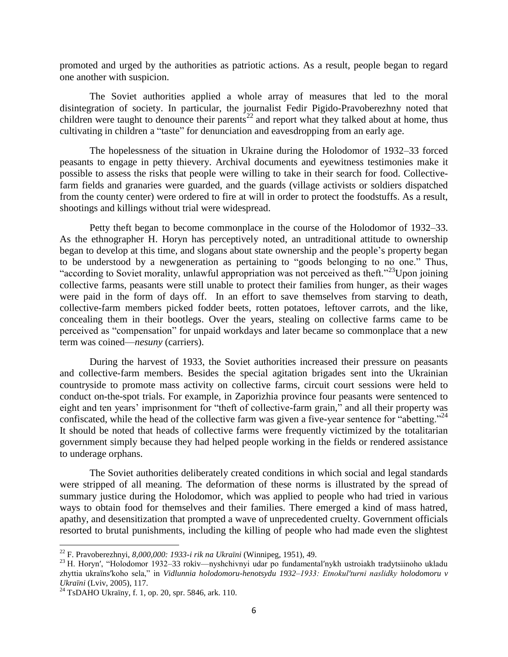promoted and urged by the authorities as patriotic actions. As a result, people began to regard one another with suspicion.

The Soviet authorities applied a whole array of measures that led to the moral disintegration of society. In particular, the journalist Fedir Pigido-Pravoberezhny noted that children were taught to denounce their parents<sup>22</sup> and report what they talked about at home, thus cultivating in children a "taste" for denunciation and eavesdropping from an early age.

The hopelessness of the situation in Ukraine during the Holodomor of 1932–33 forced peasants to engage in petty thievery. Archival documents and eyewitness testimonies make it possible to assess the risks that people were willing to take in their search for food. Collectivefarm fields and granaries were guarded, and the guards (village activists or soldiers dispatched from the county center) were ordered to fire at will in order to protect the foodstuffs. As a result, shootings and killings without trial were widespread.

Petty theft began to become commonplace in the course of the Holodomor of 1932–33. As the ethnographer H. Horyn has perceptively noted, an untraditional attitude to ownership began to develop at this time, and slogans about state ownership and the people's property began to be understood by a newgeneration as pertaining to "goods belonging to no one." Thus, "according to Soviet morality, unlawful appropriation was not perceived as theft."<sup>23</sup>Upon joining collective farms, peasants were still unable to protect their families from hunger, as their wages were paid in the form of days off. In an effort to save themselves from starving to death, collective-farm members picked fodder beets, rotten potatoes, leftover carrots, and the like, concealing them in their bootlegs. Over the years, stealing on collective farms came to be perceived as "compensation" for unpaid workdays and later became so commonplace that a new term was coined—*nesuny* (carriers).

During the harvest of 1933, the Soviet authorities increased their pressure on peasants and collective-farm members. Besides the special agitation brigades sent into the Ukrainian countryside to promote mass activity on collective farms, circuit court sessions were held to conduct on-the-spot trials. For example, in Zaporizhia province four peasants were sentenced to eight and ten years' imprisonment for "theft of collective-farm grain," and all their property was confiscated, while the head of the collective farm was given a five-year sentence for "abetting."<sup>24</sup> It should be noted that heads of collective farms were frequently victimized by the totalitarian government simply because they had helped people working in the fields or rendered assistance to underage orphans.

The Soviet authorities deliberately created conditions in which social and legal standards were stripped of all meaning. The deformation of these norms is illustrated by the spread of summary justice during the Holodomor, which was applied to people who had tried in various ways to obtain food for themselves and their families. There emerged a kind of mass hatred, apathy, and desensitization that prompted a wave of unprecedented cruelty. Government officials resorted to brutal punishments, including the killing of people who had made even the slightest

 $\overline{a}$ 

<sup>22</sup> F. Pravoberezhnyi, *8,000,000: 1933-i rik na Ukraïni* (Winnipeg, 1951), 49.

<sup>23</sup> H. Horyn′, "Holodomor 1932–33 rokiv—nyshchivnyi udar po fundamental′nykh ustroiakh tradytsiinoho ukladu zhyttia ukraïns′koho sela," in *Vidlunnia holodomoru-henotsydu 1932–1933: Etnokul′turni naslidky holodomoru v Ukraïni* (Lviv, 2005), 117.

<sup>&</sup>lt;sup>24</sup> TsDAHO Ukraïny, f. 1, op. 20, spr. 5846, ark. 110.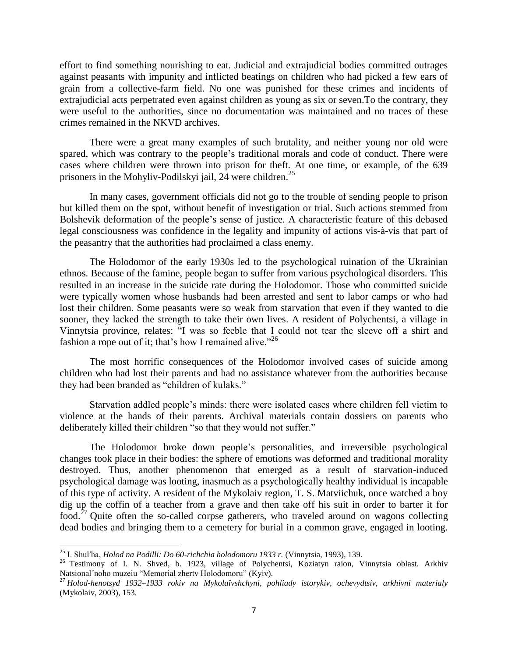effort to find something nourishing to eat. Judicial and extrajudicial bodies committed outrages against peasants with impunity and inflicted beatings on children who had picked a few ears of grain from a collective-farm field. No one was punished for these crimes and incidents of extrajudicial acts perpetrated even against children as young as six or seven.To the contrary, they were useful to the authorities, since no documentation was maintained and no traces of these crimes remained in the NKVD archives.

There were a great many examples of such brutality, and neither young nor old were spared, which was contrary to the people's traditional morals and code of conduct. There were cases where children were thrown into prison for theft. At one time, or example, of the 639 prisoners in the Mohyliv-Podilskyi jail, 24 were children.<sup>25</sup>

In many cases, government officials did not go to the trouble of sending people to prison but killed them on the spot, without benefit of investigation or trial. Such actions stemmed from Bolshevik deformation of the people's sense of justice. A characteristic feature of this debased legal consciousness was confidence in the legality and impunity of actions vis-à-vis that part of the peasantry that the authorities had proclaimed a class enemy.

The Holodomor of the early 1930s led to the psychological ruination of the Ukrainian ethnos. Because of the famine, people began to suffer from various psychological disorders. This resulted in an increase in the suicide rate during the Holodomor. Those who committed suicide were typically women whose husbands had been arrested and sent to labor camps or who had lost their children. Some peasants were so weak from starvation that even if they wanted to die sooner, they lacked the strength to take their own lives. A resident of Polychentsi, a village in Vinnytsia province, relates: "I was so feeble that I could not tear the sleeve off a shirt and fashion a rope out of it; that's how I remained alive."<sup>26</sup>

The most horrific consequences of the Holodomor involved cases of suicide among children who had lost their parents and had no assistance whatever from the authorities because they had been branded as "children of kulaks."

Starvation addled people's minds: there were isolated cases where children fell victim to violence at the hands of their parents. Archival materials contain dossiers on parents who deliberately killed their children "so that they would not suffer."

The Holodomor broke down people's personalities, and irreversible psychological changes took place in their bodies: the sphere of emotions was deformed and traditional morality destroyed. Thus, another phenomenon that emerged as a result of starvation-induced psychological damage was looting, inasmuch as a psychologically healthy individual is incapable of this type of activity. A resident of the Mykolaiv region, T. S. Matviichuk, once watched a boy dig up the coffin of a teacher from a grave and then take off his suit in order to barter it for food.<sup>27</sup> Quite often the so-called corpse gatherers, who traveled around on wagons collecting dead bodies and bringing them to a cemetery for burial in a common grave, engaged in looting.

 $\overline{a}$ 

<sup>25</sup> I. Shul′ha, *Holod na Podilli: Do 60-richchia holodomoru 1933 r.* (Vinnytsia, 1993), 139.

<sup>&</sup>lt;sup>26</sup> Testimony of I. N. Shved, b. 1923, village of Polychentsi, Koziatyn raion, Vinnytsia oblast. Arkhiv Natsional´noho muzeiu "Memorial zhertv Holodomoru" (Kyiv).

<sup>27</sup> *Holod-henotsyd 1932–1933 rokiv na Mykolaïvshchyni, pohliady istorykiv, ochevydtsiv, arkhivni materialy* (Mykolaiv, 2003), 153.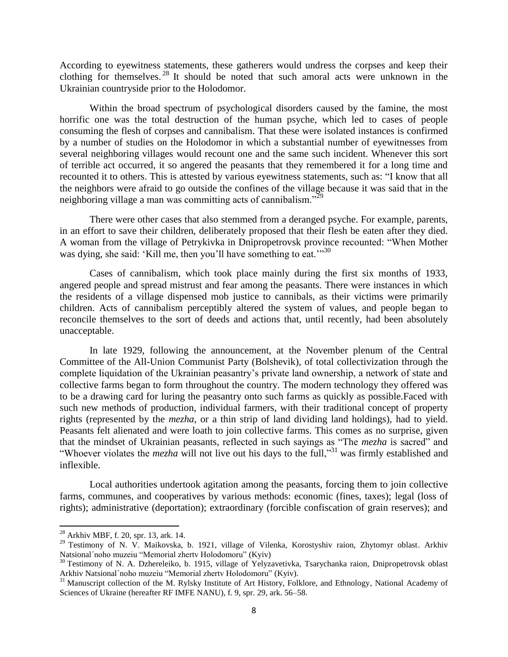According to eyewitness statements, these gatherers would undress the corpses and keep their clothing for themselves. <sup>28</sup> It should be noted that such amoral acts were unknown in the Ukrainian countryside prior to the Holodomor.

Within the broad spectrum of psychological disorders caused by the famine, the most horrific one was the total destruction of the human psyche, which led to cases of people consuming the flesh of corpses and cannibalism. That these were isolated instances is confirmed by a number of studies on the Holodomor in which a substantial number of eyewitnesses from several neighboring villages would recount one and the same such incident. Whenever this sort of terrible act occurred, it so angered the peasants that they remembered it for a long time and recounted it to others. This is attested by various eyewitness statements, such as: "I know that all the neighbors were afraid to go outside the confines of the village because it was said that in the neighboring village a man was committing acts of cannibalism."<sup>29</sup>

There were other cases that also stemmed from a deranged psyche. For example, parents, in an effort to save their children, deliberately proposed that their flesh be eaten after they died. A woman from the village of Petrykivka in Dnipropetrovsk province recounted: "When Mother was dying, she said: 'Kill me, then you'll have something to eat.'"<sup>30</sup>

Cases of cannibalism, which took place mainly during the first six months of 1933, angered people and spread mistrust and fear among the peasants. There were instances in which the residents of a village dispensed mob justice to cannibals, as their victims were primarily children. Acts of cannibalism perceptibly altered the system of values, and people began to reconcile themselves to the sort of deeds and actions that, until recently, had been absolutely unacceptable.

In late 1929, following the announcement, at the November plenum of the Central Committee of the All-Union Communist Party (Bolshevik), of total collectivization through the complete liquidation of the Ukrainian peasantry's private land ownership, a network of state and collective farms began to form throughout the country. The modern technology they offered was to be a drawing card for luring the peasantry onto such farms as quickly as possible.Faced with such new methods of production, individual farmers, with their traditional concept of property rights (represented by the *mezha*, or a thin strip of land dividing land holdings), had to yield. Peasants felt alienated and were loath to join collective farms. This comes as no surprise, given that the mindset of Ukrainian peasants, reflected in such sayings as "The *mezha* is sacred" and "Whoever violates the *mezha* will not live out his days to the full,"<sup>31</sup> was firmly established and inflexible.

Local authorities undertook agitation among the peasants, forcing them to join collective farms, communes, and cooperatives by various methods: economic (fines, taxes); legal (loss of rights); administrative (deportation); extraordinary (forcible confiscation of grain reserves); and

 $^{28}$  Arkhiv MBF, f. 20, spr. 13, ark. 14.

<sup>&</sup>lt;sup>29</sup> Testimony of N. V. Maikovska, b. 1921, village of Vilenka, Korostyshiv raion, Zhytomyr oblast. Arkhiv Natsional´noho muzeiu "Memorial zhertv Holodomoru" (Kyiv)

<sup>&</sup>lt;sup>30</sup> Testimony of N. A. Dzhereleiko, b. 1915, village of Yelyzavetivka, Tsarychanka raion, Dnipropetrovsk oblast Arkhiv Natsional´noho muzeiu "Memorial zhertv Holodomoru" (Kyiv).

<sup>&</sup>lt;sup>31</sup> Manuscript collection of the M. Rylsky Institute of Art History, Folklore, and Ethnology, National Academy of Sciences of Ukraine (hereafter RF IMFE NANU), f. 9, spr. 29, ark. 56–58.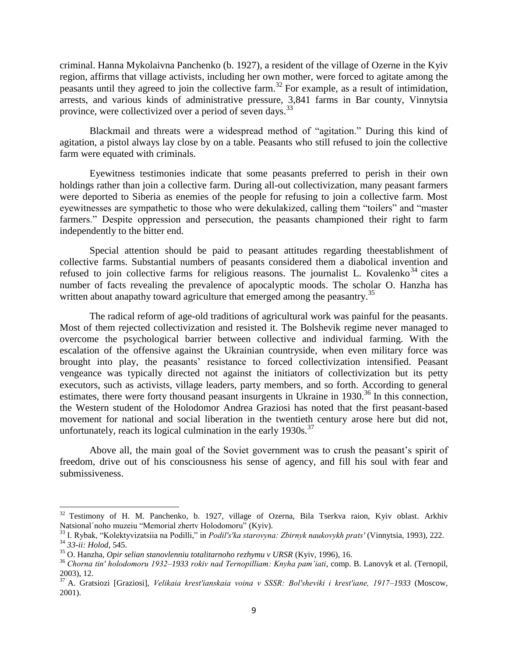criminal. Hanna Mykolaivna Panchenko (b. 1927), a resident of the village of Ozerne in the Kyiv region, affirms that village activists, including her own mother, were forced to agitate among the peasants until they agreed to join the collective farm.<sup>32</sup> For example, as a result of intimidation, arrests, and various kinds of administrative pressure, 3,841 farms in Bar county, Vinnytsia province, were collectivized over a period of seven days.<sup>33</sup>

Blackmail and threats were a widespread method of "agitation." During this kind of agitation, a pistol always lay close by on a table. Peasants who still refused to join the collective farm were equated with criminals.

Eyewitness testimonies indicate that some peasants preferred to perish in their own holdings rather than join a collective farm. During all-out collectivization, many peasant farmers were deported to Siberia as enemies of the people for refusing to join a collective farm. Most eyewitnesses are sympathetic to those who were dekulakized, calling them "toilers" and "master farmers." Despite oppression and persecution, the peasants championed their right to farm independently to the bitter end.

Special attention should be paid to peasant attitudes regarding theestablishment of collective farms. Substantial numbers of peasants considered them a diabolical invention and refused to join collective farms for religious reasons. The journalist L. Kovalenko<sup>34</sup> cites a number of facts revealing the prevalence of apocalyptic moods. The scholar O. Hanzha has written about anapathy toward agriculture that emerged among the peasantry.<sup>35</sup>

The radical reform of age-old traditions of agricultural work was painful for the peasants. Most of them rejected collectivization and resisted it. The Bolshevik regime never managed to overcome the psychological barrier between collective and individual farming. With the escalation of the offensive against the Ukrainian countryside, when even military force was brought into play, the peasants' resistance to forced collectivization intensified. Peasant vengeance was typically directed not against the initiators of collectivization but its petty executors, such as activists, village leaders, party members, and so forth. According to general estimates, there were forty thousand peasant insurgents in Ukraine in 1930.<sup>36</sup> In this connection, the Western student of the Holodomor Andrea Graziosi has noted that the first peasant-based movement for national and social liberation in the twentieth century arose here but did not, unfortunately, reach its logical culmination in the early  $1930s$ .<sup>37</sup>

Above all, the main goal of the Soviet government was to crush the peasant's spirit of freedom, drive out of his consciousness his sense of agency, and fill his soul with fear and submissiveness.

<sup>&</sup>lt;sup>32</sup> Testimony of H. M. Panchenko, b. 1927, village of Ozerna, Bila Tserkva raion, Kyiv oblast. Arkhiv Natsional´noho muzeiu "Memorial zhertv Holodomoru" (Kyiv).

<sup>33</sup> I. Rybak, "Kolektyvizatsiia na Podilli," in *Podil′s′ka starovyna: Zbirnyk naukovykh prats′* (Vinnytsia, 1993), 222. <sup>34</sup> *33-ii: Holod*, 545.

<sup>35</sup> O. Hanzha, *Opir selian stanovlenniu totalitarnoho rezhymu v URSR* (Kyiv, 1996), 16.

<sup>36</sup> *Chorna tin′ holodomoru 1932–1933 rokiv nad Ternopilliam: Knyha pam'iati*, comp. B. Lanovyk et al. (Ternopil, 2003), 12.

<sup>37</sup> A. Gratsiozi [Graziosi], *Velikaia krest′ianskaia voina v SSSR: Bol′sheviki i krest′iane, 1917–1933* (Moscow, 2001).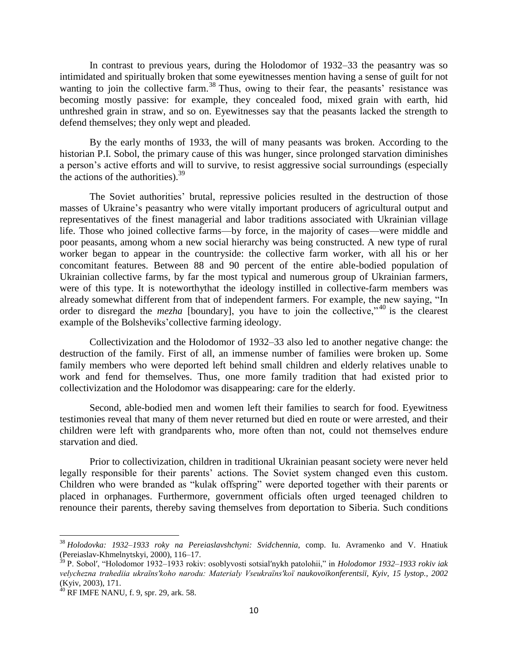In contrast to previous years, during the Holodomor of 1932–33 the peasantry was so intimidated and spiritually broken that some eyewitnesses mention having a sense of guilt for not wanting to join the collective farm.<sup>38</sup> Thus, owing to their fear, the peasants' resistance was becoming mostly passive: for example, they concealed food, mixed grain with earth, hid unthreshed grain in straw, and so on. Eyewitnesses say that the peasants lacked the strength to defend themselves; they only wept and pleaded.

By the early months of 1933, the will of many peasants was broken. According to the historian P.I. Sobol, the primary cause of this was hunger, since prolonged starvation diminishes a person's active efforts and will to survive, to resist aggressive social surroundings (especially the actions of the authorities).  $39<sup>39</sup>$ 

The Soviet authorities' brutal, repressive policies resulted in the destruction of those masses of Ukraine's peasantry who were vitally important producers of agricultural output and representatives of the finest managerial and labor traditions associated with Ukrainian village life. Those who joined collective farms—by force, in the majority of cases—were middle and poor peasants, among whom a new social hierarchy was being constructed. A new type of rural worker began to appear in the countryside: the collective farm worker, with all his or her concomitant features. Between 88 and 90 percent of the entire able-bodied population of Ukrainian collective farms, by far the most typical and numerous group of Ukrainian farmers, were of this type. It is noteworthythat the ideology instilled in collective-farm members was already somewhat different from that of independent farmers. For example, the new saying, "In order to disregard the *mezha* [boundary], you have to join the collective,<sup> $140$ </sup> is the clearest example of the Bolsheviks'collective farming ideology.

Collectivization and the Holodomor of 1932–33 also led to another negative change: the destruction of the family. First of all, an immense number of families were broken up. Some family members who were deported left behind small children and elderly relatives unable to work and fend for themselves. Thus, one more family tradition that had existed prior to collectivization and the Holodomor was disappearing: care for the elderly.

Second, able-bodied men and women left their families to search for food. Eyewitness testimonies reveal that many of them never returned but died en route or were arrested, and their children were left with grandparents who, more often than not, could not themselves endure starvation and died.

Prior to collectivization, children in traditional Ukrainian peasant society were never held legally responsible for their parents' actions. The Soviet system changed even this custom. Children who were branded as "kulak offspring" were deported together with their parents or placed in orphanages. Furthermore, government officials often urged teenaged children to renounce their parents, thereby saving themselves from deportation to Siberia. Such conditions

l

<sup>38</sup> *Holodovka: 1932–1933 roky na Pereiaslavshchyni: Svidchennia*, comp. Iu. Avramenko and V. Hnatiuk (Pereiaslav-Khmelnytskyi, 2000), 116–17.

<sup>39</sup> P. Sobol′, "Holodomor 1932–1933 rokiv: osoblyvosti sotsial′nykh patolohii," in *Holodomor 1932–1933 rokiv iak velychezna trahediia ukraïns′koho narodu: Materialy Vseukraïns′koï naukovoïkonferentsiï, Kyiv, 15 lystop., 2002* (Kyiv, 2003), 171.

 $40$  RF IMFE NANU, f. 9, spr. 29, ark. 58.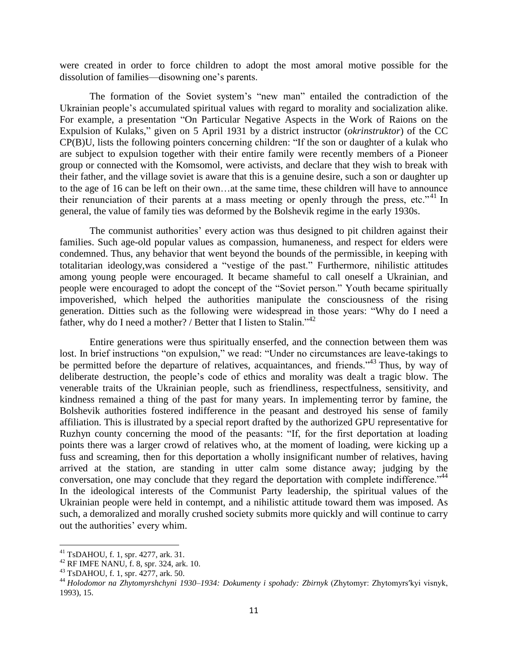were created in order to force children to adopt the most amoral motive possible for the dissolution of families—disowning one's parents.

The formation of the Soviet system's "new man" entailed the contradiction of the Ukrainian people's accumulated spiritual values with regard to morality and socialization alike. For example, a presentation "On Particular Negative Aspects in the Work of Raions on the Expulsion of Kulaks," given on 5 April 1931 by a district instructor (*okrinstruktor*) of the CC CP(B)U, lists the following pointers concerning children: "If the son or daughter of a kulak who are subject to expulsion together with their entire family were recently members of a Pioneer group or connected with the Komsomol, were activists, and declare that they wish to break with their father, and the village soviet is aware that this is a genuine desire, such a son or daughter up to the age of 16 can be left on their own…at the same time, these children will have to announce their renunciation of their parents at a mass meeting or openly through the press, etc."<sup>41</sup> In general, the value of family ties was deformed by the Bolshevik regime in the early 1930s.

The communist authorities' every action was thus designed to pit children against their families. Such age-old popular values as compassion, humaneness, and respect for elders were condemned. Thus, any behavior that went beyond the bounds of the permissible, in keeping with totalitarian ideology,was considered a "vestige of the past." Furthermore, nihilistic attitudes among young people were encouraged. It became shameful to call oneself a Ukrainian, and people were encouraged to adopt the concept of the "Soviet person." Youth became spiritually impoverished, which helped the authorities manipulate the consciousness of the rising generation. Ditties such as the following were widespread in those years: "Why do I need a father, why do I need a mother? / Better that I listen to Stalin."<sup>42</sup>

Entire generations were thus spiritually enserfed, and the connection between them was lost. In brief instructions "on expulsion," we read: "Under no circumstances are leave-takings to be permitted before the departure of relatives, acquaintances, and friends.<sup>343</sup> Thus, by way of deliberate destruction, the people's code of ethics and morality was dealt a tragic blow. The venerable traits of the Ukrainian people, such as friendliness, respectfulness, sensitivity, and kindness remained a thing of the past for many years. In implementing terror by famine, the Bolshevik authorities fostered indifference in the peasant and destroyed his sense of family affiliation. This is illustrated by a special report drafted by the authorized GPU representative for Ruzhyn county concerning the mood of the peasants: "If, for the first deportation at loading points there was a larger crowd of relatives who, at the moment of loading, were kicking up a fuss and screaming, then for this deportation a wholly insignificant number of relatives, having arrived at the station, are standing in utter calm some distance away; judging by the conversation, one may conclude that they regard the deportation with complete indifference."<sup>44</sup> In the ideological interests of the Communist Party leadership, the spiritual values of the Ukrainian people were held in contempt, and a nihilistic attitude toward them was imposed. As such, a demoralized and morally crushed society submits more quickly and will continue to carry out the authorities' every whim.

 $\overline{a}$ 

<sup>41</sup> TsDAHOU, f. 1, spr. 4277, ark. 31.

 $42$  RF IMFE NANU, f. 8, spr. 324, ark. 10.

<sup>43</sup> TsDAHOU, f. 1, spr. 4277, ark. 50.

<sup>44</sup> *Holodomor na Zhytomyrshchyni 1930–1934: Dokumenty i spohady: Zbirnyk* (Zhytomyr: Zhytomyrs′kyi visnyk, 1993), 15.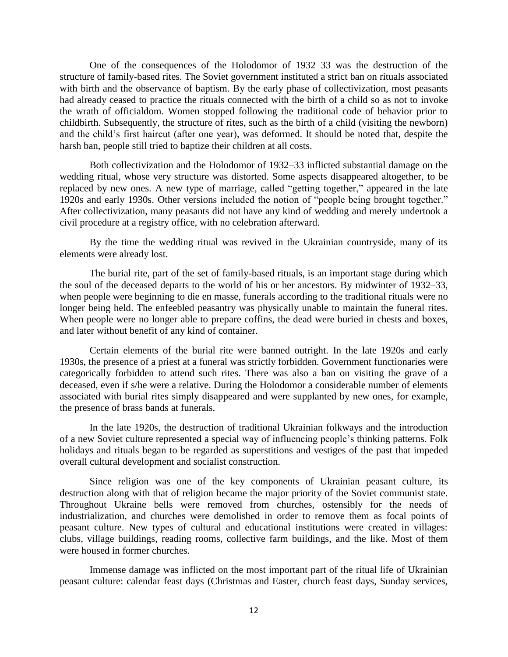One of the consequences of the Holodomor of 1932–33 was the destruction of the structure of family-based rites. The Soviet government instituted a strict ban on rituals associated with birth and the observance of baptism. By the early phase of collectivization, most peasants had already ceased to practice the rituals connected with the birth of a child so as not to invoke the wrath of officialdom. Women stopped following the traditional code of behavior prior to childbirth. Subsequently, the structure of rites, such as the birth of a child (visiting the newborn) and the child's first haircut (after one year), was deformed. It should be noted that, despite the harsh ban, people still tried to baptize their children at all costs.

Both collectivization and the Holodomor of 1932–33 inflicted substantial damage on the wedding ritual, whose very structure was distorted. Some aspects disappeared altogether, to be replaced by new ones. A new type of marriage, called "getting together," appeared in the late 1920s and early 1930s. Other versions included the notion of "people being brought together." After collectivization, many peasants did not have any kind of wedding and merely undertook a civil procedure at a registry office, with no celebration afterward.

By the time the wedding ritual was revived in the Ukrainian countryside, many of its elements were already lost.

The burial rite, part of the set of family-based rituals, is an important stage during which the soul of the deceased departs to the world of his or her ancestors. By midwinter of 1932–33, when people were beginning to die en masse, funerals according to the traditional rituals were no longer being held. The enfeebled peasantry was physically unable to maintain the funeral rites. When people were no longer able to prepare coffins, the dead were buried in chests and boxes, and later without benefit of any kind of container.

Certain elements of the burial rite were banned outright. In the late 1920s and early 1930s, the presence of a priest at a funeral was strictly forbidden. Government functionaries were categorically forbidden to attend such rites. There was also a ban on visiting the grave of a deceased, even if s/he were a relative. During the Holodomor a considerable number of elements associated with burial rites simply disappeared and were supplanted by new ones, for example, the presence of brass bands at funerals.

In the late 1920s, the destruction of traditional Ukrainian folkways and the introduction of a new Soviet culture represented a special way of influencing people's thinking patterns. Folk holidays and rituals began to be regarded as superstitions and vestiges of the past that impeded overall cultural development and socialist construction.

Since religion was one of the key components of Ukrainian peasant culture, its destruction along with that of religion became the major priority of the Soviet communist state. Throughout Ukraine bells were removed from churches, ostensibly for the needs of industrialization, and churches were demolished in order to remove them as focal points of peasant culture. New types of cultural and educational institutions were created in villages: clubs, village buildings, reading rooms, collective farm buildings, and the like. Most of them were housed in former churches.

Immense damage was inflicted on the most important part of the ritual life of Ukrainian peasant culture: calendar feast days (Christmas and Easter, church feast days, Sunday services,